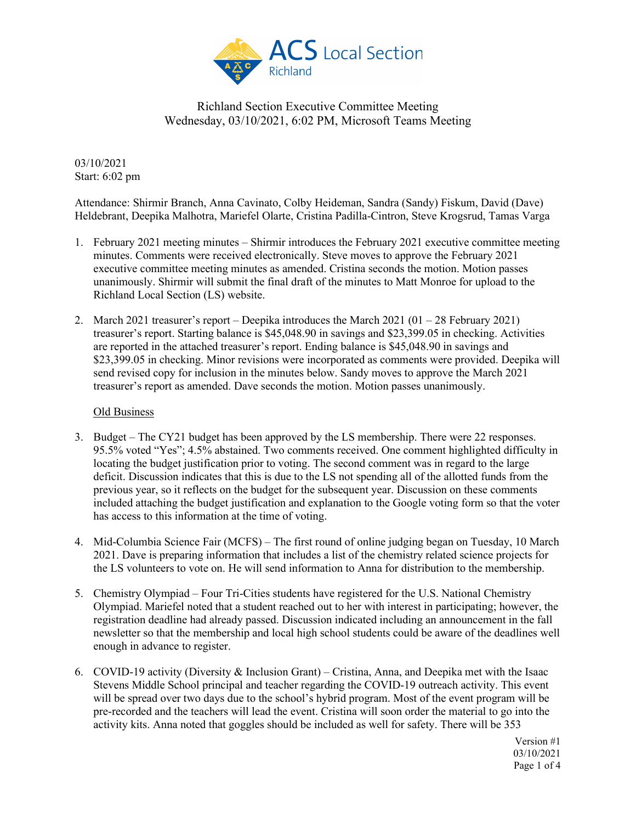

03/10/2021 Start: 6:02 pm

Attendance: Shirmir Branch, Anna Cavinato, Colby Heideman, Sandra (Sandy) Fiskum, David (Dave) Heldebrant, Deepika Malhotra, Mariefel Olarte, Cristina Padilla-Cintron, Steve Krogsrud, Tamas Varga

- 1. February 2021 meeting minutes Shirmir introduces the February 2021 executive committee meeting minutes. Comments were received electronically. Steve moves to approve the February 2021 executive committee meeting minutes as amended. Cristina seconds the motion. Motion passes unanimously. Shirmir will submit the final draft of the minutes to Matt Monroe for upload to the Richland Local Section (LS) website.
- 2. March 2021 treasurer's report Deepika introduces the March  $2021 (01 28$  February 2021) treasurer's report. Starting balance is \$45,048.90 in savings and \$23,399.05 in checking. Activities are reported in the attached treasurer's report. Ending balance is \$45,048.90 in savings and \$23,399.05 in checking. Minor revisions were incorporated as comments were provided. Deepika will send revised copy for inclusion in the minutes below. Sandy moves to approve the March 2021 treasurer's report as amended. Dave seconds the motion. Motion passes unanimously.

#### Old Business

- 3. Budget The CY21 budget has been approved by the LS membership. There were 22 responses. 95.5% voted "Yes"; 4.5% abstained. Two comments received. One comment highlighted difficulty in locating the budget justification prior to voting. The second comment was in regard to the large deficit. Discussion indicates that this is due to the LS not spending all of the allotted funds from the previous year, so it reflects on the budget for the subsequent year. Discussion on these comments included attaching the budget justification and explanation to the Google voting form so that the voter has access to this information at the time of voting.
- 4. Mid-Columbia Science Fair (MCFS) The first round of online judging began on Tuesday, 10 March 2021. Dave is preparing information that includes a list of the chemistry related science projects for the LS volunteers to vote on. He will send information to Anna for distribution to the membership.
- 5. Chemistry Olympiad Four Tri-Cities students have registered for the U.S. National Chemistry Olympiad. Mariefel noted that a student reached out to her with interest in participating; however, the registration deadline had already passed. Discussion indicated including an announcement in the fall newsletter so that the membership and local high school students could be aware of the deadlines well enough in advance to register.
- 6. COVID-19 activity (Diversity & Inclusion Grant) Cristina, Anna, and Deepika met with the Isaac Stevens Middle School principal and teacher regarding the COVID-19 outreach activity. This event will be spread over two days due to the school's hybrid program. Most of the event program will be pre-recorded and the teachers will lead the event. Cristina will soon order the material to go into the activity kits. Anna noted that goggles should be included as well for safety. There will be 353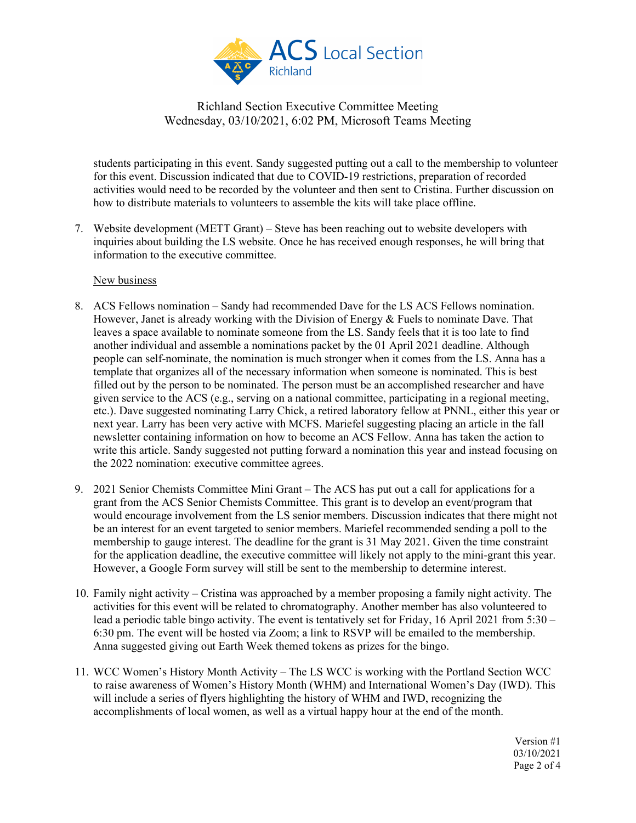

students participating in this event. Sandy suggested putting out a call to the membership to volunteer for this event. Discussion indicated that due to COVID-19 restrictions, preparation of recorded activities would need to be recorded by the volunteer and then sent to Cristina. Further discussion on how to distribute materials to volunteers to assemble the kits will take place offline.

7. Website development (METT Grant) – Steve has been reaching out to website developers with inquiries about building the LS website. Once he has received enough responses, he will bring that information to the executive committee.

#### New business

- 8. ACS Fellows nomination Sandy had recommended Dave for the LS ACS Fellows nomination. However, Janet is already working with the Division of Energy & Fuels to nominate Dave. That leaves a space available to nominate someone from the LS. Sandy feels that it is too late to find another individual and assemble a nominations packet by the 01 April 2021 deadline. Although people can self-nominate, the nomination is much stronger when it comes from the LS. Anna has a template that organizes all of the necessary information when someone is nominated. This is best filled out by the person to be nominated. The person must be an accomplished researcher and have given service to the ACS (e.g., serving on a national committee, participating in a regional meeting, etc.). Dave suggested nominating Larry Chick, a retired laboratory fellow at PNNL, either this year or next year. Larry has been very active with MCFS. Mariefel suggesting placing an article in the fall newsletter containing information on how to become an ACS Fellow. Anna has taken the action to write this article. Sandy suggested not putting forward a nomination this year and instead focusing on the 2022 nomination: executive committee agrees.
- 9. 2021 Senior Chemists Committee Mini Grant The ACS has put out a call for applications for a grant from the ACS Senior Chemists Committee. This grant is to develop an event/program that would encourage involvement from the LS senior members. Discussion indicates that there might not be an interest for an event targeted to senior members. Mariefel recommended sending a poll to the membership to gauge interest. The deadline for the grant is 31 May 2021. Given the time constraint for the application deadline, the executive committee will likely not apply to the mini-grant this year. However, a Google Form survey will still be sent to the membership to determine interest.
- 10. Family night activity Cristina was approached by a member proposing a family night activity. The activities for this event will be related to chromatography. Another member has also volunteered to lead a periodic table bingo activity. The event is tentatively set for Friday, 16 April 2021 from 5:30 – 6:30 pm. The event will be hosted via Zoom; a link to RSVP will be emailed to the membership. Anna suggested giving out Earth Week themed tokens as prizes for the bingo.
- 11. WCC Women's History Month Activity The LS WCC is working with the Portland Section WCC to raise awareness of Women's History Month (WHM) and International Women's Day (IWD). This will include a series of flyers highlighting the history of WHM and IWD, recognizing the accomplishments of local women, as well as a virtual happy hour at the end of the month.

Version #1 03/10/2021 Page 2 of 4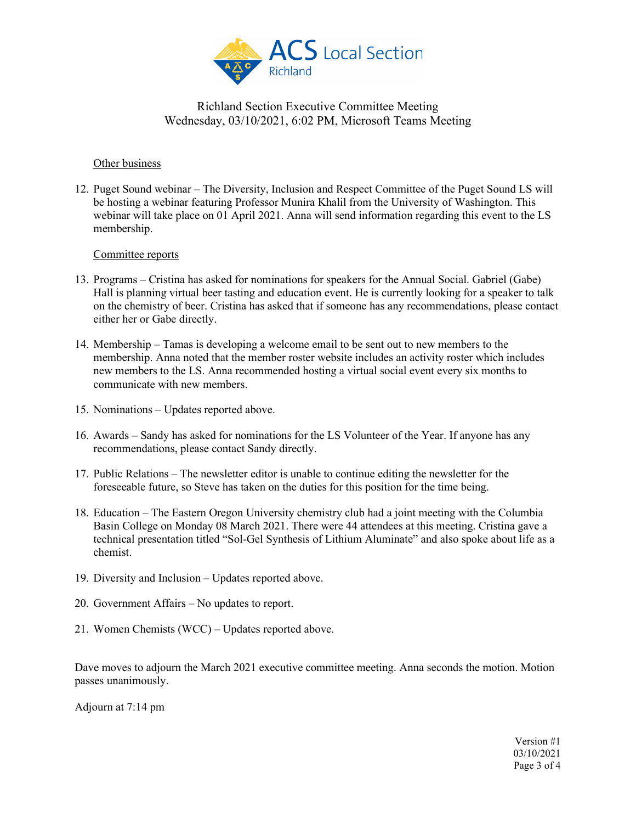

#### Other business

12. Puget Sound webinar – The Diversity, Inclusion and Respect Committee of the Puget Sound LS will be hosting a webinar featuring Professor Munira Khalil from the University of Washington. This webinar will take place on 01 April 2021. Anna will send information regarding this event to the LS membership.

### Committee reports

- 13. Programs Cristina has asked for nominations for speakers for the Annual Social. Gabriel (Gabe) Hall is planning virtual beer tasting and education event. He is currently looking for a speaker to talk on the chemistry of beer. Cristina has asked that if someone has any recommendations, please contact either her or Gabe directly.
- 14. Membership Tamas is developing a welcome email to be sent out to new members to the membership. Anna noted that the member roster website includes an activity roster which includes new members to the LS. Anna recommended hosting a virtual social event every six months to communicate with new members.
- 15. Nominations Updates reported above.
- 16. Awards Sandy has asked for nominations for the LS Volunteer of the Year. If anyone has any recommendations, please contact Sandy directly.
- 17. Public Relations The newsletter editor is unable to continue editing the newsletter for the foreseeable future, so Steve has taken on the duties for this position for the time being.
- 18. Education The Eastern Oregon University chemistry club had a joint meeting with the Columbia Basin College on Monday 08 March 2021. There were 44 attendees at this meeting. Cristina gave a technical presentation titled "Sol-Gel Synthesis of Lithium Aluminate" and also spoke about life as a chemist.
- 19. Diversity and Inclusion Updates reported above.
- 20. Government Affairs No updates to report.
- 21. Women Chemists (WCC) Updates reported above.

Dave moves to adjourn the March 2021 executive committee meeting. Anna seconds the motion. Motion passes unanimously.

Adjourn at 7:14 pm